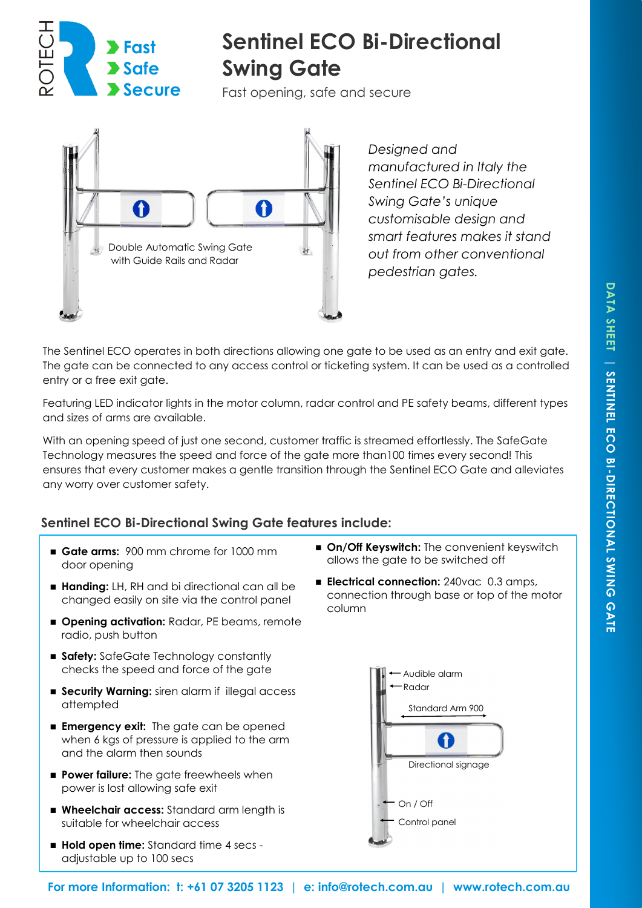

# **Sentinel ECO Bi-Directional Swing Gate**

Fast opening, safe and secure



*Designed and manufactured in Italy the Sentinel ECO Bi-Directional Swing Gate's unique customisable design and smart features makes it stand out from other conventional pedestrian gates.* 

The Sentinel ECO operates in both directions allowing one gate to be used as an entry and exit gate. The gate can be connected to any access control or ticketing system. It can be used as a controlled entry or a free exit gate.

Featuring LED indicator lights in the motor column, radar control and PE safety beams, different types and sizes of arms are available.

With an opening speed of just one second, customer traffic is streamed effortlessly. The SafeGate Technology measures the speed and force of the gate more than100 times every second! This ensures that every customer makes a gentle transition through the Sentinel ECO Gate and alleviates any worry over customer safety.

# **Sentinel ECO Bi-Directional Swing Gate features include:**

- Gate arms: 900 mm chrome for 1000 mm door opening
- Handing: LH, RH and bi directional can all be changed easily on site via the control panel
- **Opening activation: Radar, PE beams, remote** radio, push button
- **Safety:** SafeGate Technology constantly checks the speed and force of the gate
- **Security Warning:** siren alarm if illegal access attempted
- **Emergency exit:** The gate can be opened when 6 kgs of pressure is applied to the arm and the alarm then sounds
- **Power failure:** The gate freewheels when power is lost allowing safe exit
- Wheelchair access: Standard arm length is suitable for wheelchair access
- **Hold open time:** Standard time 4 secs adjustable up to 100 secs
- On/Off Keyswitch: The convenient keyswitch allows the gate to be switched off
- **Electrical connection:** 240vac 0.3 amps, connection through base or top of the motor column

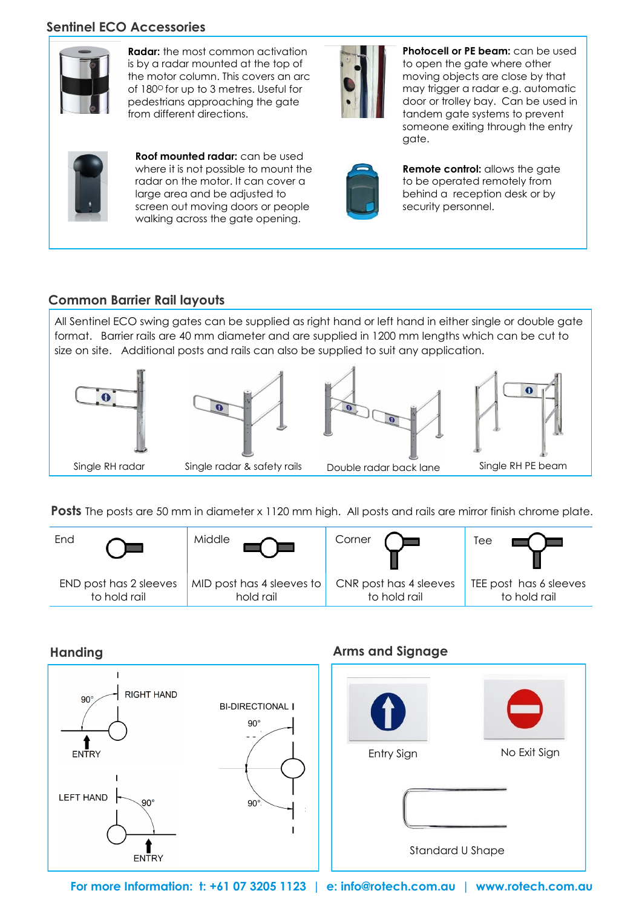## **Sentinel ECO Accessories**



**Radar:** the most common activation is by a radar mounted at the top of the motor column. This covers an arc of 180° for up to 3 metres. Useful for pedestrians approaching the gate from different directions.

**Roof mounted radar:** can be used where it is not possible to mount the radar on the motor. It can cover a large area and be adjusted to screen out moving doors or people walking across the gate opening.



**Photocell or PE beam:** can be used to open the gate where other moving objects are close by that may trigger a radar e.g. automatic door or trolley bay. Can be used in tandem gate systems to prevent someone exiting through the entry gate.



**Remote control:** allows the gate to be operated remotely from behind a reception desk or by security personnel.

# **Common Barrier Rail layouts**

All Sentinel ECO swing gates can be supplied as right hand or left hand in either single or double gate format. Barrier rails are 40 mm diameter and are supplied in 1200 mm lengths which can be cut to size on site. Additional posts and rails can also be supplied to suit any application.



**Posts** The posts are 50 mm in diameter x 1120 mm high. All posts and rails are mirror finish chrome plate.



## **Handing Arms and Signage**



**For more Information: t: +61 07 3205 1123 | e: info@rotech.com.au | www.rotech.com.au**